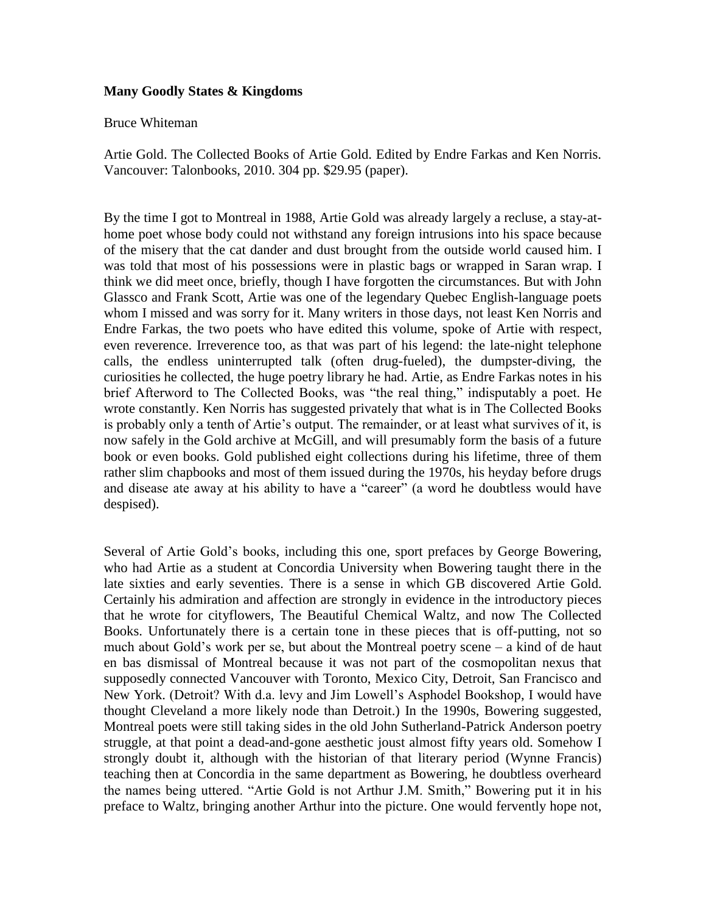## **Many Goodly States & Kingdoms**

## Bruce Whiteman

Artie Gold. The Collected Books of Artie Gold. Edited by Endre Farkas and Ken Norris. Vancouver: Talonbooks, 2010. 304 pp. \$29.95 (paper).

By the time I got to Montreal in 1988, Artie Gold was already largely a recluse, a stay-athome poet whose body could not withstand any foreign intrusions into his space because of the misery that the cat dander and dust brought from the outside world caused him. I was told that most of his possessions were in plastic bags or wrapped in Saran wrap. I think we did meet once, briefly, though I have forgotten the circumstances. But with John Glassco and Frank Scott, Artie was one of the legendary Quebec English-language poets whom I missed and was sorry for it. Many writers in those days, not least Ken Norris and Endre Farkas, the two poets who have edited this volume, spoke of Artie with respect, even reverence. Irreverence too, as that was part of his legend: the late-night telephone calls, the endless uninterrupted talk (often drug-fueled), the dumpster-diving, the curiosities he collected, the huge poetry library he had. Artie, as Endre Farkas notes in his brief Afterword to The Collected Books, was "the real thing," indisputably a poet. He wrote constantly. Ken Norris has suggested privately that what is in The Collected Books is probably only a tenth of Artie's output. The remainder, or at least what survives of it, is now safely in the Gold archive at McGill, and will presumably form the basis of a future book or even books. Gold published eight collections during his lifetime, three of them rather slim chapbooks and most of them issued during the 1970s, his heyday before drugs and disease ate away at his ability to have a "career" (a word he doubtless would have despised).

Several of Artie Gold's books, including this one, sport prefaces by George Bowering, who had Artie as a student at Concordia University when Bowering taught there in the late sixties and early seventies. There is a sense in which GB discovered Artie Gold. Certainly his admiration and affection are strongly in evidence in the introductory pieces that he wrote for cityflowers, The Beautiful Chemical Waltz, and now The Collected Books. Unfortunately there is a certain tone in these pieces that is off-putting, not so much about Gold's work per se, but about the Montreal poetry scene – a kind of de haut en bas dismissal of Montreal because it was not part of the cosmopolitan nexus that supposedly connected Vancouver with Toronto, Mexico City, Detroit, San Francisco and New York. (Detroit? With d.a. levy and Jim Lowell's Asphodel Bookshop, I would have thought Cleveland a more likely node than Detroit.) In the 1990s, Bowering suggested, Montreal poets were still taking sides in the old John Sutherland-Patrick Anderson poetry struggle, at that point a dead-and-gone aesthetic joust almost fifty years old. Somehow I strongly doubt it, although with the historian of that literary period (Wynne Francis) teaching then at Concordia in the same department as Bowering, he doubtless overheard the names being uttered. "Artie Gold is not Arthur J.M. Smith," Bowering put it in his preface to Waltz, bringing another Arthur into the picture. One would fervently hope not,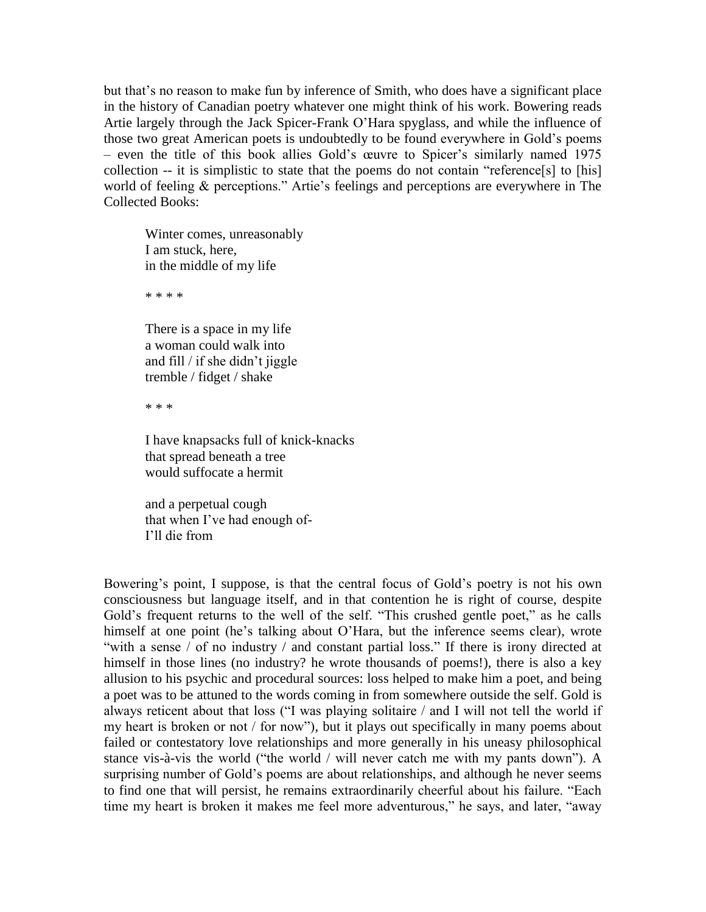but that's no reason to make fun by inference of Smith, who does have a significant place in the history of Canadian poetry whatever one might think of his work. Bowering reads Artie largely through the Jack Spicer-Frank O'Hara spyglass, and while the influence of those two great American poets is undoubtedly to be found everywhere in Gold's poems – even the title of this book allies Gold's œuvre to Spicer's similarly named 1975 collection -- it is simplistic to state that the poems do not contain "reference[s] to [his] world of feeling & perceptions." Artie's feelings and perceptions are everywhere in The Collected Books:

Winter comes, unreasonably I am stuck, here, in the middle of my life

\* \* \* \*

There is a space in my life a woman could walk into and fill / if she didn't jiggle tremble / fidget / shake

\* \* \*

I have knapsacks full of knick-knacks that spread beneath a tree would suffocate a hermit

and a perpetual cough that when I've had enough of-I'll die from

Bowering's point, I suppose, is that the central focus of Gold's poetry is not his own consciousness but language itself, and in that contention he is right of course, despite Gold's frequent returns to the well of the self. "This crushed gentle poet," as he calls himself at one point (he's talking about O'Hara, but the inference seems clear), wrote "with a sense / of no industry / and constant partial loss." If there is irony directed at himself in those lines (no industry? he wrote thousands of poems!), there is also a key allusion to his psychic and procedural sources: loss helped to make him a poet, and being a poet was to be attuned to the words coming in from somewhere outside the self. Gold is always reticent about that loss ("I was playing solitaire / and I will not tell the world if my heart is broken or not / for now"), but it plays out specifically in many poems about failed or contestatory love relationships and more generally in his uneasy philosophical stance vis-à-vis the world ("the world / will never catch me with my pants down"). A surprising number of Gold's poems are about relationships, and although he never seems to find one that will persist, he remains extraordinarily cheerful about his failure. "Each time my heart is broken it makes me feel more adventurous," he says, and later, "away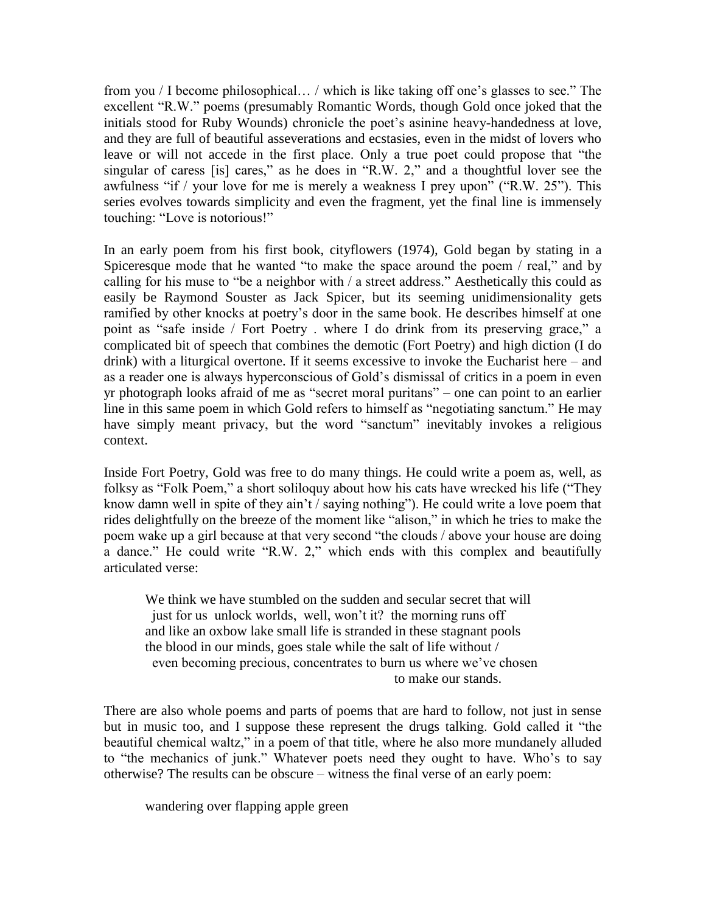from you / I become philosophical… / which is like taking off one's glasses to see." The excellent "R.W." poems (presumably Romantic Words, though Gold once joked that the initials stood for Ruby Wounds) chronicle the poet's asinine heavy-handedness at love, and they are full of beautiful asseverations and ecstasies, even in the midst of lovers who leave or will not accede in the first place. Only a true poet could propose that "the singular of caress [is] cares," as he does in "R.W. 2," and a thoughtful lover see the awfulness "if / your love for me is merely a weakness I prey upon" ("R.W. 25"). This series evolves towards simplicity and even the fragment, yet the final line is immensely touching: "Love is notorious!"

In an early poem from his first book, cityflowers (1974), Gold began by stating in a Spiceresque mode that he wanted "to make the space around the poem / real," and by calling for his muse to "be a neighbor with / a street address." Aesthetically this could as easily be Raymond Souster as Jack Spicer, but its seeming unidimensionality gets ramified by other knocks at poetry's door in the same book. He describes himself at one point as "safe inside / Fort Poetry . where I do drink from its preserving grace," a complicated bit of speech that combines the demotic (Fort Poetry) and high diction (I do drink) with a liturgical overtone. If it seems excessive to invoke the Eucharist here – and as a reader one is always hyperconscious of Gold's dismissal of critics in a poem in even yr photograph looks afraid of me as "secret moral puritans" – one can point to an earlier line in this same poem in which Gold refers to himself as "negotiating sanctum." He may have simply meant privacy, but the word "sanctum" inevitably invokes a religious context.

Inside Fort Poetry, Gold was free to do many things. He could write a poem as, well, as folksy as "Folk Poem," a short soliloquy about how his cats have wrecked his life ("They know damn well in spite of they ain't / saying nothing"). He could write a love poem that rides delightfully on the breeze of the moment like "alison," in which he tries to make the poem wake up a girl because at that very second "the clouds / above your house are doing a dance." He could write "R.W. 2," which ends with this complex and beautifully articulated verse:

We think we have stumbled on the sudden and secular secret that will just for us unlock worlds, well, won't it? the morning runs off and like an oxbow lake small life is stranded in these stagnant pools the blood in our minds, goes stale while the salt of life without / even becoming precious, concentrates to burn us where we've chosen to make our stands.

There are also whole poems and parts of poems that are hard to follow, not just in sense but in music too, and I suppose these represent the drugs talking. Gold called it "the beautiful chemical waltz," in a poem of that title, where he also more mundanely alluded to "the mechanics of junk." Whatever poets need they ought to have. Who's to say otherwise? The results can be obscure – witness the final verse of an early poem:

wandering over flapping apple green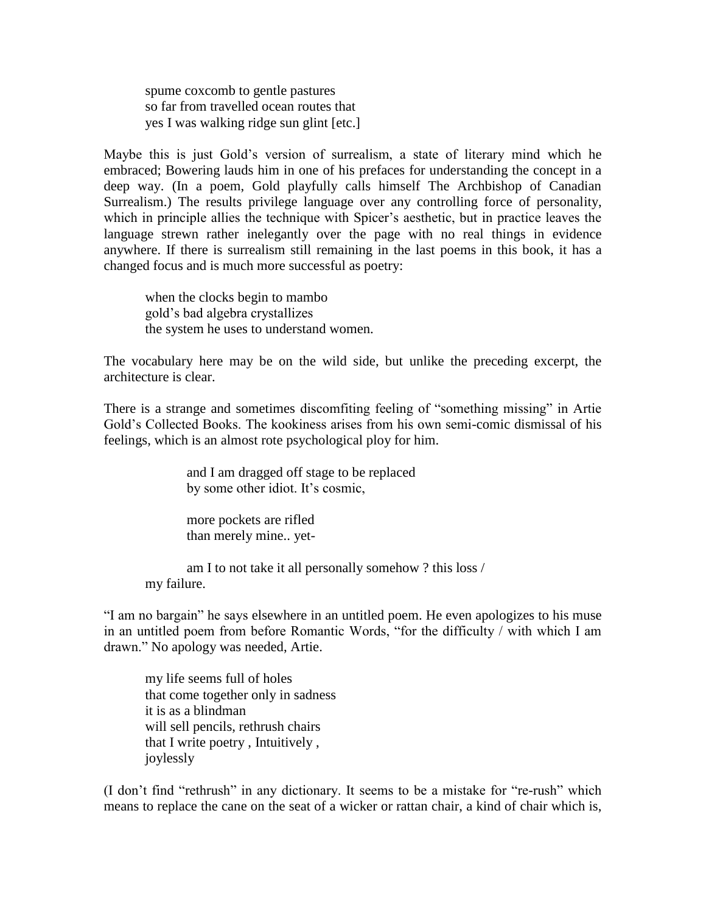spume coxcomb to gentle pastures so far from travelled ocean routes that yes I was walking ridge sun glint [etc.]

Maybe this is just Gold's version of surrealism, a state of literary mind which he embraced; Bowering lauds him in one of his prefaces for understanding the concept in a deep way. (In a poem, Gold playfully calls himself The Archbishop of Canadian Surrealism.) The results privilege language over any controlling force of personality, which in principle allies the technique with Spicer's aesthetic, but in practice leaves the language strewn rather inelegantly over the page with no real things in evidence anywhere. If there is surrealism still remaining in the last poems in this book, it has a changed focus and is much more successful as poetry:

when the clocks begin to mambo gold's bad algebra crystallizes the system he uses to understand women.

The vocabulary here may be on the wild side, but unlike the preceding excerpt, the architecture is clear.

There is a strange and sometimes discomfiting feeling of "something missing" in Artie Gold's Collected Books. The kookiness arises from his own semi-comic dismissal of his feelings, which is an almost rote psychological ploy for him.

> and I am dragged off stage to be replaced by some other idiot. It's cosmic,

more pockets are rifled than merely mine.. yet-

am I to not take it all personally somehow ? this loss / my failure.

"I am no bargain" he says elsewhere in an untitled poem. He even apologizes to his muse in an untitled poem from before Romantic Words, "for the difficulty / with which I am drawn." No apology was needed, Artie.

my life seems full of holes that come together only in sadness it is as a blindman will sell pencils, rethrush chairs that I write poetry , Intuitively , joylessly

(I don't find "rethrush" in any dictionary. It seems to be a mistake for "re-rush" which means to replace the cane on the seat of a wicker or rattan chair, a kind of chair which is,